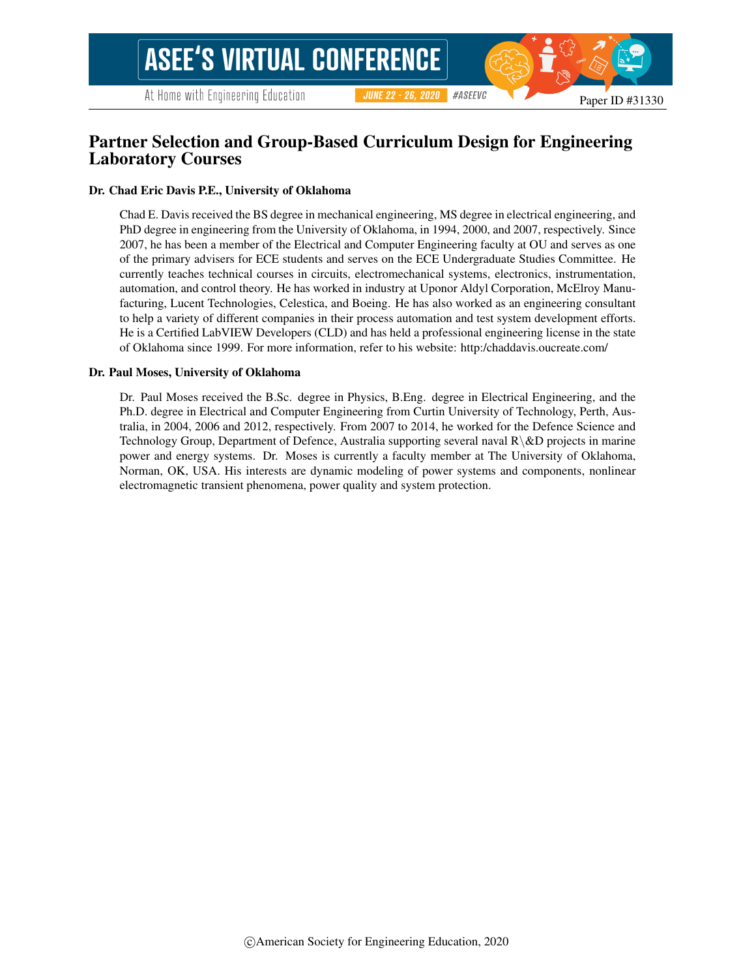# Partner Selection and Group-Based Curriculum Design for Engineering Laboratory Courses

### Dr. Chad Eric Davis P.E., University of Oklahoma

Chad E. Davis received the BS degree in mechanical engineering, MS degree in electrical engineering, and PhD degree in engineering from the University of Oklahoma, in 1994, 2000, and 2007, respectively. Since 2007, he has been a member of the Electrical and Computer Engineering faculty at OU and serves as one of the primary advisers for ECE students and serves on the ECE Undergraduate Studies Committee. He currently teaches technical courses in circuits, electromechanical systems, electronics, instrumentation, automation, and control theory. He has worked in industry at Uponor Aldyl Corporation, McElroy Manufacturing, Lucent Technologies, Celestica, and Boeing. He has also worked as an engineering consultant to help a variety of different companies in their process automation and test system development efforts. He is a Certified LabVIEW Developers (CLD) and has held a professional engineering license in the state of Oklahoma since 1999. For more information, refer to his website: http:/chaddavis.oucreate.com/

#### Dr. Paul Moses, University of Oklahoma

Dr. Paul Moses received the B.Sc. degree in Physics, B.Eng. degree in Electrical Engineering, and the Ph.D. degree in Electrical and Computer Engineering from Curtin University of Technology, Perth, Australia, in 2004, 2006 and 2012, respectively. From 2007 to 2014, he worked for the Defence Science and Technology Group, Department of Defence, Australia supporting several naval R\&D projects in marine power and energy systems. Dr. Moses is currently a faculty member at The University of Oklahoma, Norman, OK, USA. His interests are dynamic modeling of power systems and components, nonlinear electromagnetic transient phenomena, power quality and system protection.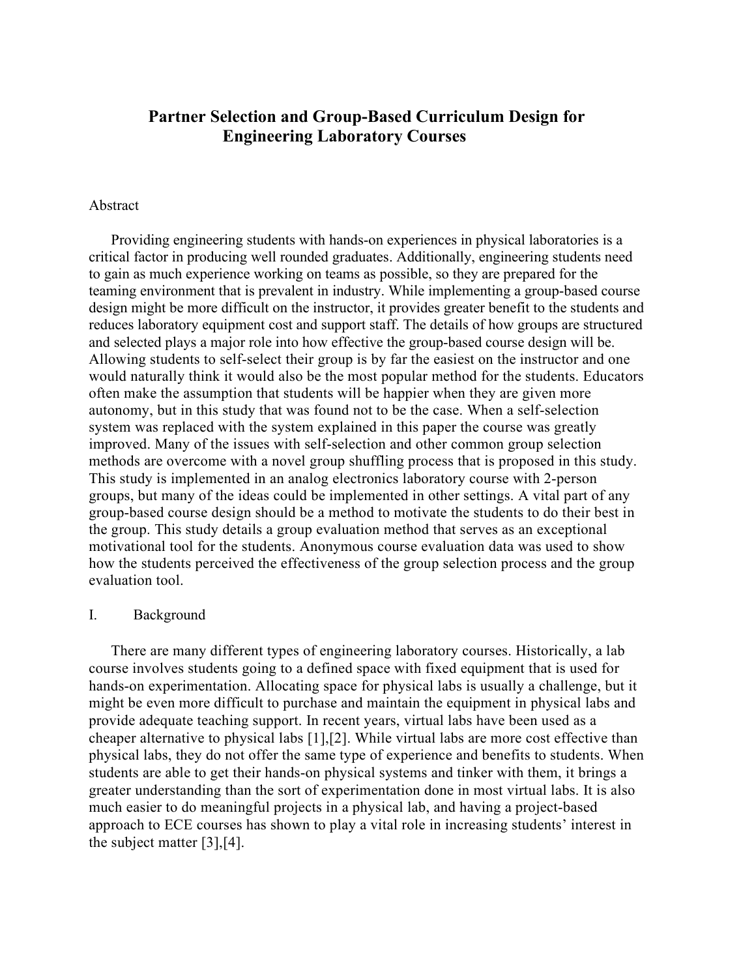# **Partner Selection and Group-Based Curriculum Design for Engineering Laboratory Courses**

### Abstract

Providing engineering students with hands-on experiences in physical laboratories is a critical factor in producing well rounded graduates. Additionally, engineering students need to gain as much experience working on teams as possible, so they are prepared for the teaming environment that is prevalent in industry. While implementing a group-based course design might be more difficult on the instructor, it provides greater benefit to the students and reduces laboratory equipment cost and support staff. The details of how groups are structured and selected plays a major role into how effective the group-based course design will be. Allowing students to self-select their group is by far the easiest on the instructor and one would naturally think it would also be the most popular method for the students. Educators often make the assumption that students will be happier when they are given more autonomy, but in this study that was found not to be the case. When a self-selection system was replaced with the system explained in this paper the course was greatly improved. Many of the issues with self-selection and other common group selection methods are overcome with a novel group shuffling process that is proposed in this study. This study is implemented in an analog electronics laboratory course with 2-person groups, but many of the ideas could be implemented in other settings. A vital part of any group-based course design should be a method to motivate the students to do their best in the group. This study details a group evaluation method that serves as an exceptional motivational tool for the students. Anonymous course evaluation data was used to show how the students perceived the effectiveness of the group selection process and the group evaluation tool.

### I. Background

There are many different types of engineering laboratory courses. Historically, a lab course involves students going to a defined space with fixed equipment that is used for hands-on experimentation. Allocating space for physical labs is usually a challenge, but it might be even more difficult to purchase and maintain the equipment in physical labs and provide adequate teaching support. In recent years, virtual labs have been used as a cheaper alternative to physical labs [1],[2]. While virtual labs are more cost effective than physical labs, they do not offer the same type of experience and benefits to students. When students are able to get their hands-on physical systems and tinker with them, it brings a greater understanding than the sort of experimentation done in most virtual labs. It is also much easier to do meaningful projects in a physical lab, and having a project-based approach to ECE courses has shown to play a vital role in increasing students' interest in the subject matter [3],[4].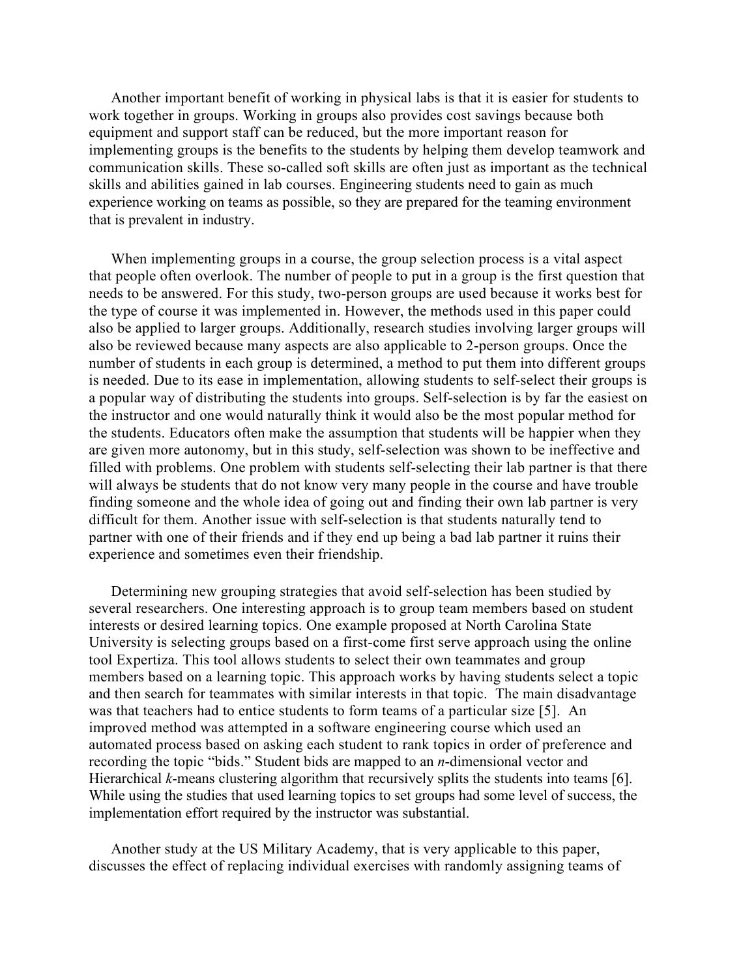Another important benefit of working in physical labs is that it is easier for students to work together in groups. Working in groups also provides cost savings because both equipment and support staff can be reduced, but the more important reason for implementing groups is the benefits to the students by helping them develop teamwork and communication skills. These so-called soft skills are often just as important as the technical skills and abilities gained in lab courses. Engineering students need to gain as much experience working on teams as possible, so they are prepared for the teaming environment that is prevalent in industry.

When implementing groups in a course, the group selection process is a vital aspect that people often overlook. The number of people to put in a group is the first question that needs to be answered. For this study, two-person groups are used because it works best for the type of course it was implemented in. However, the methods used in this paper could also be applied to larger groups. Additionally, research studies involving larger groups will also be reviewed because many aspects are also applicable to 2-person groups. Once the number of students in each group is determined, a method to put them into different groups is needed. Due to its ease in implementation, allowing students to self-select their groups is a popular way of distributing the students into groups. Self-selection is by far the easiest on the instructor and one would naturally think it would also be the most popular method for the students. Educators often make the assumption that students will be happier when they are given more autonomy, but in this study, self-selection was shown to be ineffective and filled with problems. One problem with students self-selecting their lab partner is that there will always be students that do not know very many people in the course and have trouble finding someone and the whole idea of going out and finding their own lab partner is very difficult for them. Another issue with self-selection is that students naturally tend to partner with one of their friends and if they end up being a bad lab partner it ruins their experience and sometimes even their friendship.

Determining new grouping strategies that avoid self-selection has been studied by several researchers. One interesting approach is to group team members based on student interests or desired learning topics. One example proposed at North Carolina State University is selecting groups based on a first-come first serve approach using the online tool Expertiza. This tool allows students to select their own teammates and group members based on a learning topic. This approach works by having students select a topic and then search for teammates with similar interests in that topic. The main disadvantage was that teachers had to entice students to form teams of a particular size [5]. An improved method was attempted in a software engineering course which used an automated process based on asking each student to rank topics in order of preference and recording the topic "bids." Student bids are mapped to an *n*-dimensional vector and Hierarchical *k*-means clustering algorithm that recursively splits the students into teams [6]. While using the studies that used learning topics to set groups had some level of success, the implementation effort required by the instructor was substantial.

Another study at the US Military Academy, that is very applicable to this paper, discusses the effect of replacing individual exercises with randomly assigning teams of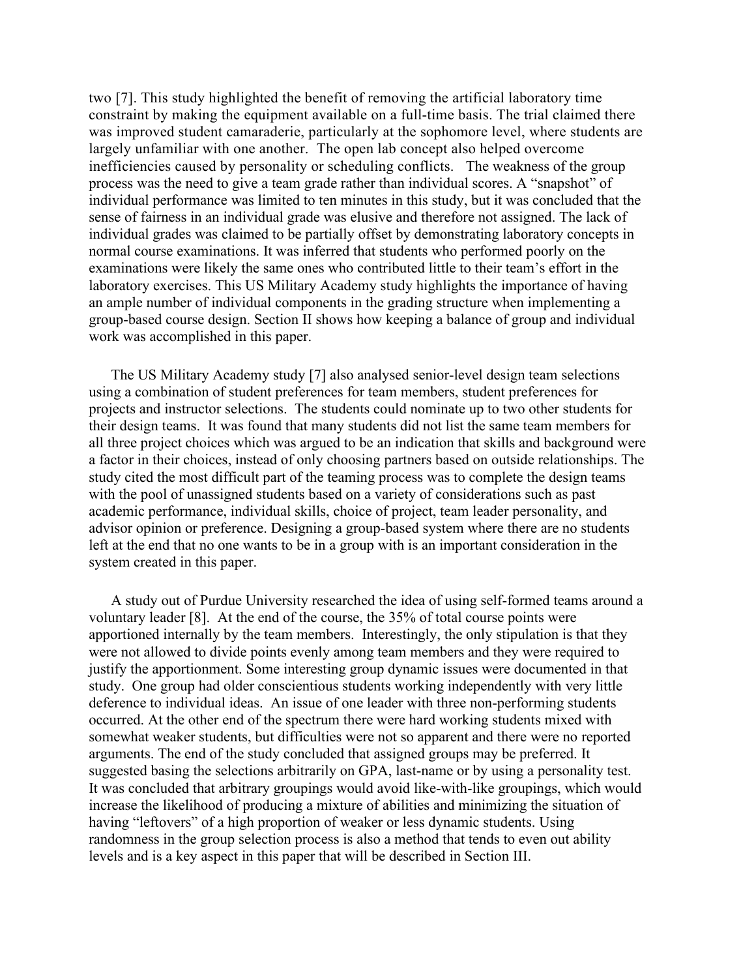two [7]. This study highlighted the benefit of removing the artificial laboratory time constraint by making the equipment available on a full-time basis. The trial claimed there was improved student camaraderie, particularly at the sophomore level, where students are largely unfamiliar with one another. The open lab concept also helped overcome inefficiencies caused by personality or scheduling conflicts. The weakness of the group process was the need to give a team grade rather than individual scores. A "snapshot" of individual performance was limited to ten minutes in this study, but it was concluded that the sense of fairness in an individual grade was elusive and therefore not assigned. The lack of individual grades was claimed to be partially offset by demonstrating laboratory concepts in normal course examinations. It was inferred that students who performed poorly on the examinations were likely the same ones who contributed little to their team's effort in the laboratory exercises. This US Military Academy study highlights the importance of having an ample number of individual components in the grading structure when implementing a group-based course design. Section II shows how keeping a balance of group and individual work was accomplished in this paper.

The US Military Academy study [7] also analysed senior-level design team selections using a combination of student preferences for team members, student preferences for projects and instructor selections. The students could nominate up to two other students for their design teams. It was found that many students did not list the same team members for all three project choices which was argued to be an indication that skills and background were a factor in their choices, instead of only choosing partners based on outside relationships. The study cited the most difficult part of the teaming process was to complete the design teams with the pool of unassigned students based on a variety of considerations such as past academic performance, individual skills, choice of project, team leader personality, and advisor opinion or preference. Designing a group-based system where there are no students left at the end that no one wants to be in a group with is an important consideration in the system created in this paper.

A study out of Purdue University researched the idea of using self-formed teams around a voluntary leader [8]. At the end of the course, the 35% of total course points were apportioned internally by the team members. Interestingly, the only stipulation is that they were not allowed to divide points evenly among team members and they were required to justify the apportionment. Some interesting group dynamic issues were documented in that study. One group had older conscientious students working independently with very little deference to individual ideas. An issue of one leader with three non-performing students occurred. At the other end of the spectrum there were hard working students mixed with somewhat weaker students, but difficulties were not so apparent and there were no reported arguments. The end of the study concluded that assigned groups may be preferred. It suggested basing the selections arbitrarily on GPA, last-name or by using a personality test. It was concluded that arbitrary groupings would avoid like-with-like groupings, which would increase the likelihood of producing a mixture of abilities and minimizing the situation of having "leftovers" of a high proportion of weaker or less dynamic students. Using randomness in the group selection process is also a method that tends to even out ability levels and is a key aspect in this paper that will be described in Section III.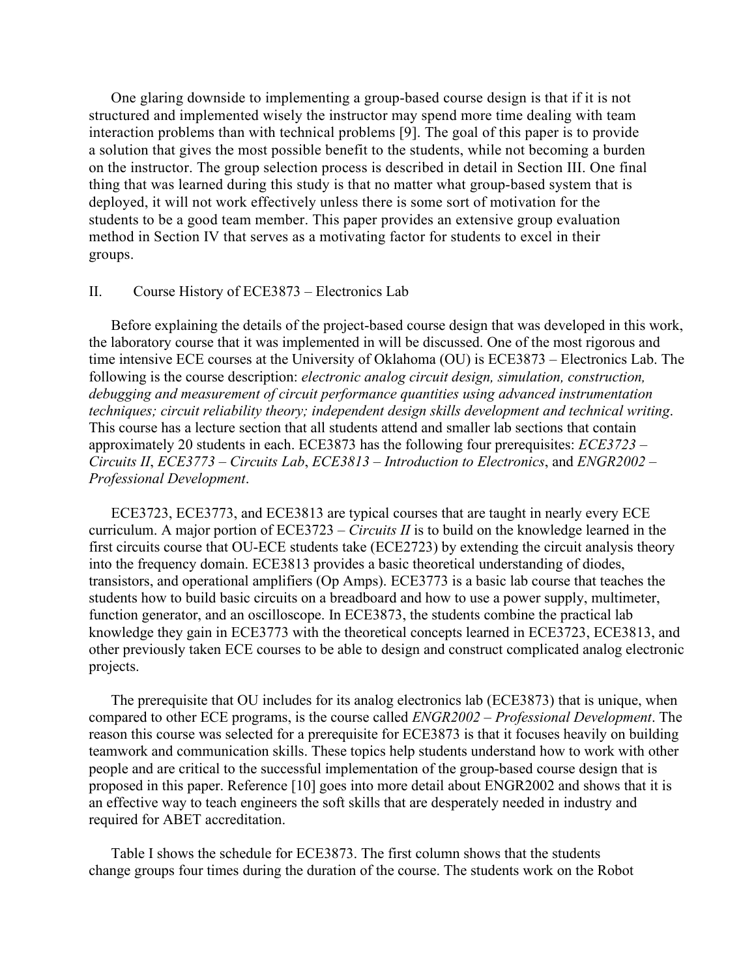One glaring downside to implementing a group-based course design is that if it is not structured and implemented wisely the instructor may spend more time dealing with team interaction problems than with technical problems [9]. The goal of this paper is to provide a solution that gives the most possible benefit to the students, while not becoming a burden on the instructor. The group selection process is described in detail in Section III. One final thing that was learned during this study is that no matter what group-based system that is deployed, it will not work effectively unless there is some sort of motivation for the students to be a good team member. This paper provides an extensive group evaluation method in Section IV that serves as a motivating factor for students to excel in their groups.

### II. Course History of ECE3873 – Electronics Lab

Before explaining the details of the project-based course design that was developed in this work, the laboratory course that it was implemented in will be discussed. One of the most rigorous and time intensive ECE courses at the University of Oklahoma (OU) is ECE3873 – Electronics Lab. The following is the course description: *electronic analog circuit design, simulation, construction, debugging and measurement of circuit performance quantities using advanced instrumentation techniques; circuit reliability theory; independent design skills development and technical writing*. This course has a lecture section that all students attend and smaller lab sections that contain approximately 20 students in each. ECE3873 has the following four prerequisites: *ECE3723 – Circuits II*, *ECE3773 – Circuits Lab*, *ECE3813 – Introduction to Electronics*, and *ENGR2002 – Professional Development*.

ECE3723, ECE3773, and ECE3813 are typical courses that are taught in nearly every ECE curriculum. A major portion of ECE3723 *– Circuits II* is to build on the knowledge learned in the first circuits course that OU-ECE students take (ECE2723) by extending the circuit analysis theory into the frequency domain. ECE3813 provides a basic theoretical understanding of diodes, transistors, and operational amplifiers (Op Amps). ECE3773 is a basic lab course that teaches the students how to build basic circuits on a breadboard and how to use a power supply, multimeter, function generator, and an oscilloscope. In ECE3873, the students combine the practical lab knowledge they gain in ECE3773 with the theoretical concepts learned in ECE3723, ECE3813, and other previously taken ECE courses to be able to design and construct complicated analog electronic projects.

The prerequisite that OU includes for its analog electronics lab (ECE3873) that is unique, when compared to other ECE programs, is the course called *ENGR2002 – Professional Development*. The reason this course was selected for a prerequisite for ECE3873 is that it focuses heavily on building teamwork and communication skills. These topics help students understand how to work with other people and are critical to the successful implementation of the group-based course design that is proposed in this paper. Reference [10] goes into more detail about ENGR2002 and shows that it is an effective way to teach engineers the soft skills that are desperately needed in industry and required for ABET accreditation.

Table I shows the schedule for ECE3873. The first column shows that the students change groups four times during the duration of the course. The students work on the Robot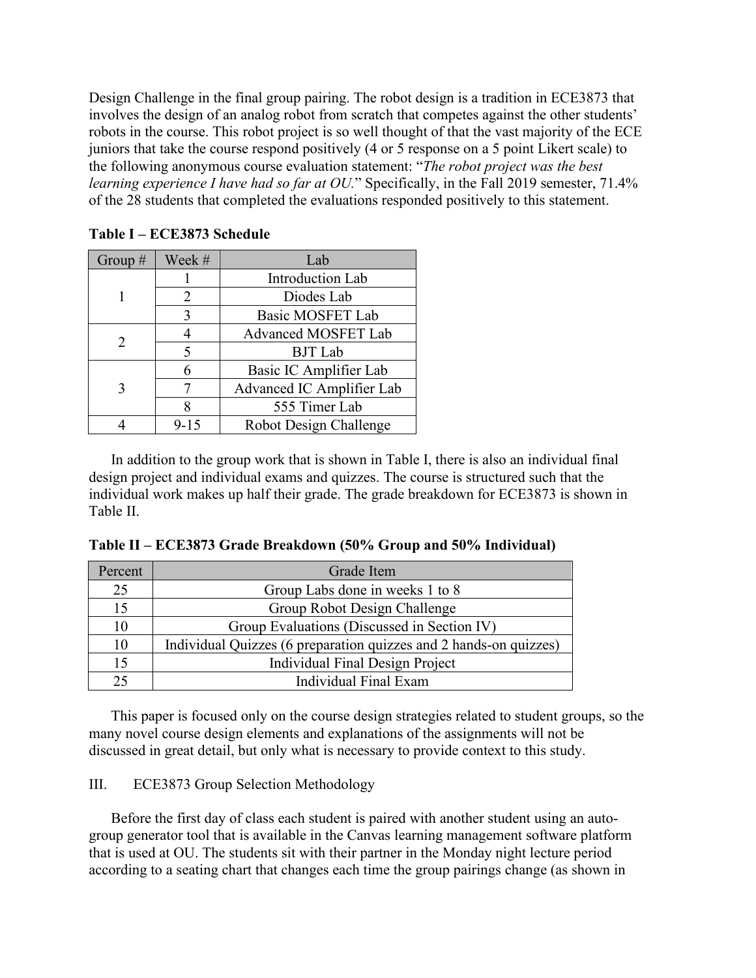Design Challenge in the final group pairing. The robot design is a tradition in ECE3873 that involves the design of an analog robot from scratch that competes against the other students' robots in the course. This robot project is so well thought of that the vast majority of the ECE juniors that take the course respond positively (4 or 5 response on a 5 point Likert scale) to the following anonymous course evaluation statement: "*The robot project was the best learning experience I have had so far at OU.*" Specifically, in the Fall 2019 semester, 71.4% of the 28 students that completed the evaluations responded positively to this statement.

| Group $#$             | Week #   | Lab                        |  |
|-----------------------|----------|----------------------------|--|
|                       |          | Introduction Lab           |  |
|                       | 2        | Diodes Lab                 |  |
|                       | 3        | <b>Basic MOSFET Lab</b>    |  |
|                       |          | <b>Advanced MOSFET Lab</b> |  |
| $\mathcal{D}_{\cdot}$ |          | <b>BJT</b> Lab             |  |
|                       | 6        | Basic IC Amplifier Lab     |  |
| 3                     |          | Advanced IC Amplifier Lab  |  |
|                       |          | 555 Timer Lab              |  |
|                       | $9 - 15$ | Robot Design Challenge     |  |

**Table I – ECE3873 Schedule** 

In addition to the group work that is shown in Table I, there is also an individual final design project and individual exams and quizzes. The course is structured such that the individual work makes up half their grade. The grade breakdown for ECE3873 is shown in Table II.

| Percent | Grade Item                                                        |
|---------|-------------------------------------------------------------------|
| 25      | Group Labs done in weeks 1 to 8                                   |
| 15      | Group Robot Design Challenge                                      |
| 10      | Group Evaluations (Discussed in Section IV)                       |
| 10      | Individual Quizzes (6 preparation quizzes and 2 hands-on quizzes) |
| 15      | Individual Final Design Project                                   |
|         | Individual Final Exam                                             |

**Table II – ECE3873 Grade Breakdown (50% Group and 50% Individual)**

This paper is focused only on the course design strategies related to student groups, so the many novel course design elements and explanations of the assignments will not be discussed in great detail, but only what is necessary to provide context to this study.

## III. ECE3873 Group Selection Methodology

Before the first day of class each student is paired with another student using an autogroup generator tool that is available in the Canvas learning management software platform that is used at OU. The students sit with their partner in the Monday night lecture period according to a seating chart that changes each time the group pairings change (as shown in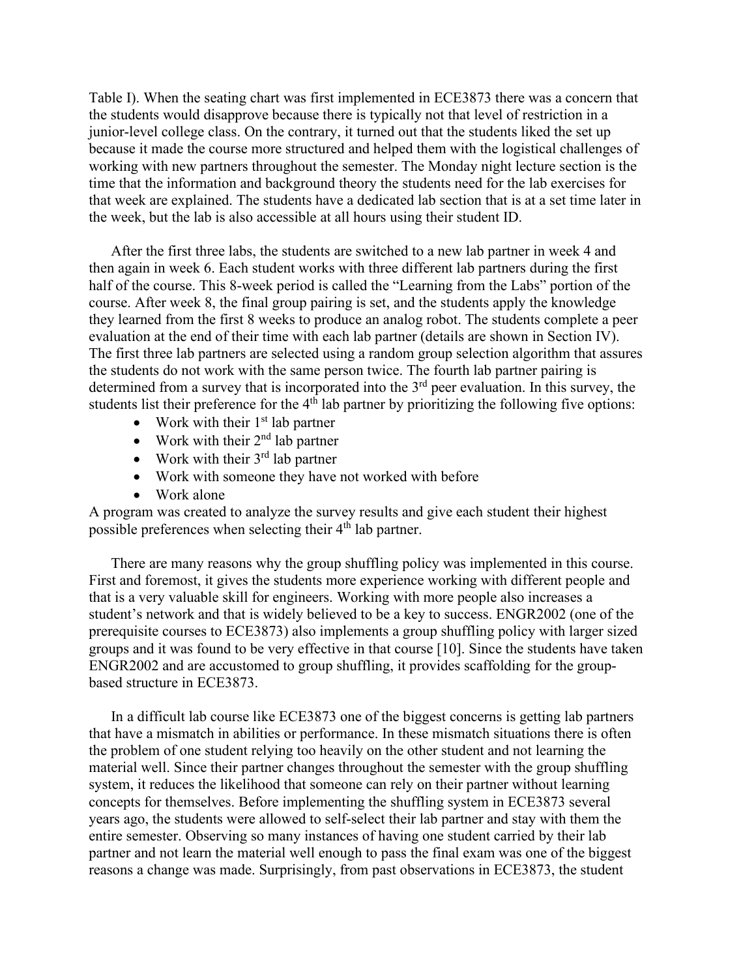Table I). When the seating chart was first implemented in ECE3873 there was a concern that the students would disapprove because there is typically not that level of restriction in a junior-level college class. On the contrary, it turned out that the students liked the set up because it made the course more structured and helped them with the logistical challenges of working with new partners throughout the semester. The Monday night lecture section is the time that the information and background theory the students need for the lab exercises for that week are explained. The students have a dedicated lab section that is at a set time later in the week, but the lab is also accessible at all hours using their student ID.

After the first three labs, the students are switched to a new lab partner in week 4 and then again in week 6. Each student works with three different lab partners during the first half of the course. This 8-week period is called the "Learning from the Labs" portion of the course. After week 8, the final group pairing is set, and the students apply the knowledge they learned from the first 8 weeks to produce an analog robot. The students complete a peer evaluation at the end of their time with each lab partner (details are shown in Section IV). The first three lab partners are selected using a random group selection algorithm that assures the students do not work with the same person twice. The fourth lab partner pairing is determined from a survey that is incorporated into the  $3<sup>rd</sup>$  peer evaluation. In this survey, the students list their preference for the  $4<sup>th</sup>$  lab partner by prioritizing the following five options:

- Work with their  $1<sup>st</sup>$  lab partner
- Work with their  $2<sup>nd</sup>$  lab partner
- Work with their  $3<sup>rd</sup>$  lab partner
- Work with someone they have not worked with before
- Work alone

A program was created to analyze the survey results and give each student their highest possible preferences when selecting their 4<sup>th</sup> lab partner.

There are many reasons why the group shuffling policy was implemented in this course. First and foremost, it gives the students more experience working with different people and that is a very valuable skill for engineers. Working with more people also increases a student's network and that is widely believed to be a key to success. ENGR2002 (one of the prerequisite courses to ECE3873) also implements a group shuffling policy with larger sized groups and it was found to be very effective in that course [10]. Since the students have taken ENGR2002 and are accustomed to group shuffling, it provides scaffolding for the groupbased structure in ECE3873.

In a difficult lab course like ECE3873 one of the biggest concerns is getting lab partners that have a mismatch in abilities or performance. In these mismatch situations there is often the problem of one student relying too heavily on the other student and not learning the material well. Since their partner changes throughout the semester with the group shuffling system, it reduces the likelihood that someone can rely on their partner without learning concepts for themselves. Before implementing the shuffling system in ECE3873 several years ago, the students were allowed to self-select their lab partner and stay with them the entire semester. Observing so many instances of having one student carried by their lab partner and not learn the material well enough to pass the final exam was one of the biggest reasons a change was made. Surprisingly, from past observations in ECE3873, the student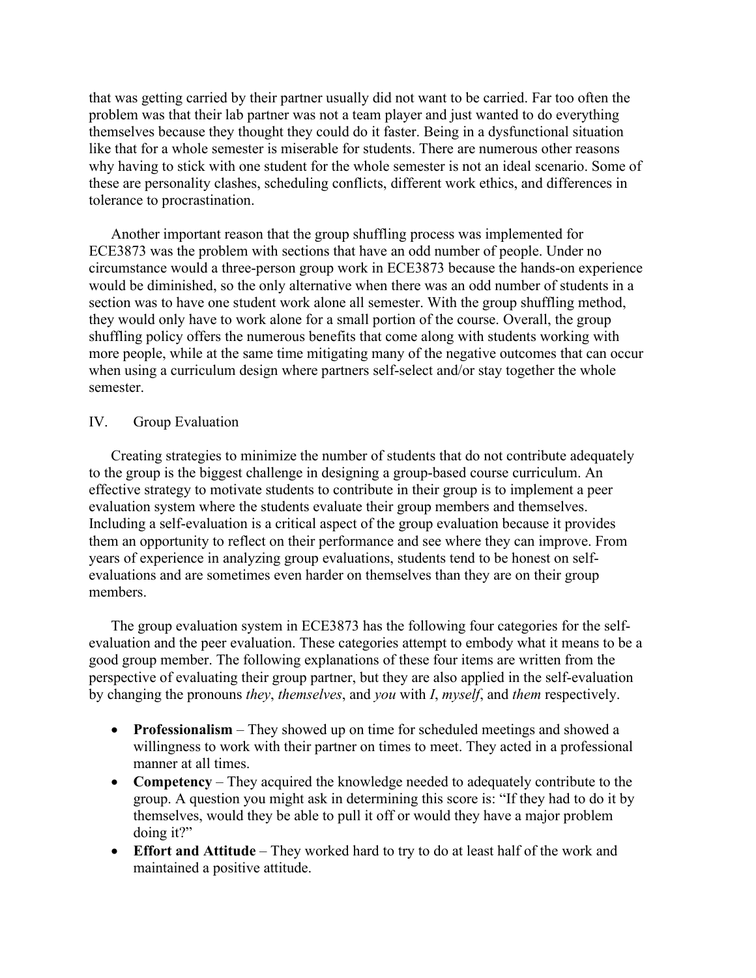that was getting carried by their partner usually did not want to be carried. Far too often the problem was that their lab partner was not a team player and just wanted to do everything themselves because they thought they could do it faster. Being in a dysfunctional situation like that for a whole semester is miserable for students. There are numerous other reasons why having to stick with one student for the whole semester is not an ideal scenario. Some of these are personality clashes, scheduling conflicts, different work ethics, and differences in tolerance to procrastination.

Another important reason that the group shuffling process was implemented for ECE3873 was the problem with sections that have an odd number of people. Under no circumstance would a three-person group work in ECE3873 because the hands-on experience would be diminished, so the only alternative when there was an odd number of students in a section was to have one student work alone all semester. With the group shuffling method, they would only have to work alone for a small portion of the course. Overall, the group shuffling policy offers the numerous benefits that come along with students working with more people, while at the same time mitigating many of the negative outcomes that can occur when using a curriculum design where partners self-select and/or stay together the whole semester.

### IV. Group Evaluation

Creating strategies to minimize the number of students that do not contribute adequately to the group is the biggest challenge in designing a group-based course curriculum. An effective strategy to motivate students to contribute in their group is to implement a peer evaluation system where the students evaluate their group members and themselves. Including a self-evaluation is a critical aspect of the group evaluation because it provides them an opportunity to reflect on their performance and see where they can improve. From years of experience in analyzing group evaluations, students tend to be honest on selfevaluations and are sometimes even harder on themselves than they are on their group members.

The group evaluation system in ECE3873 has the following four categories for the selfevaluation and the peer evaluation. These categories attempt to embody what it means to be a good group member. The following explanations of these four items are written from the perspective of evaluating their group partner, but they are also applied in the self-evaluation by changing the pronouns *they*, *themselves*, and *you* with *I*, *myself*, and *them* respectively.

- **Professionalism** They showed up on time for scheduled meetings and showed a willingness to work with their partner on times to meet. They acted in a professional manner at all times.
- **Competency** They acquired the knowledge needed to adequately contribute to the group. A question you might ask in determining this score is: "If they had to do it by themselves, would they be able to pull it off or would they have a major problem doing it?"
- **Effort and Attitude** They worked hard to try to do at least half of the work and maintained a positive attitude.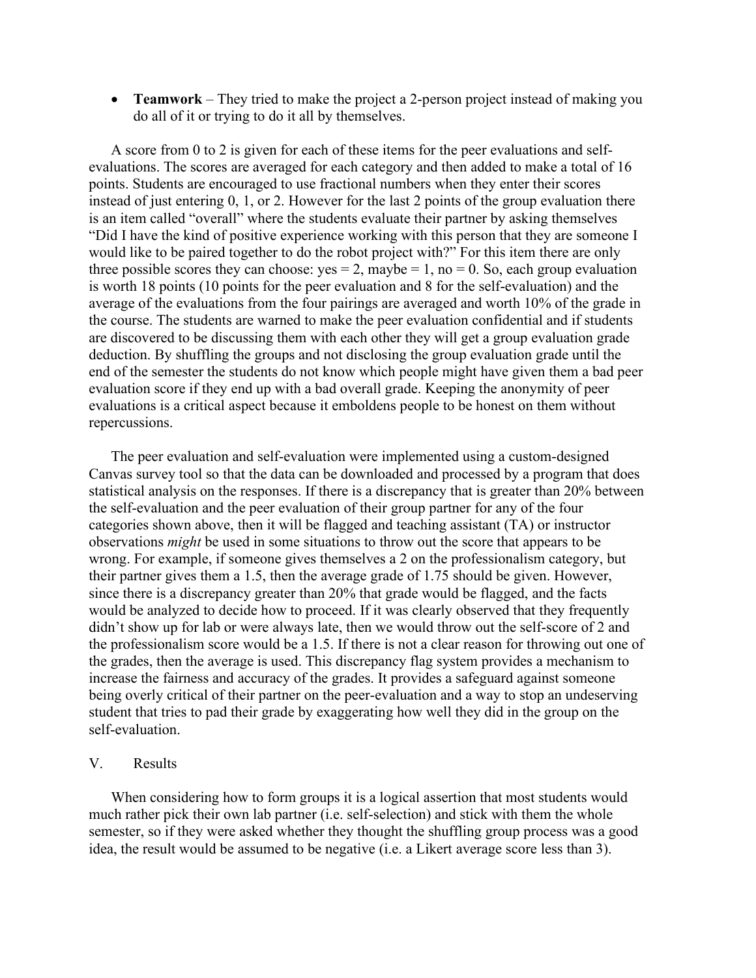• **Teamwork** – They tried to make the project a 2-person project instead of making you do all of it or trying to do it all by themselves.

A score from 0 to 2 is given for each of these items for the peer evaluations and selfevaluations. The scores are averaged for each category and then added to make a total of 16 points. Students are encouraged to use fractional numbers when they enter their scores instead of just entering 0, 1, or 2. However for the last 2 points of the group evaluation there is an item called "overall" where the students evaluate their partner by asking themselves "Did I have the kind of positive experience working with this person that they are someone I would like to be paired together to do the robot project with?" For this item there are only three possible scores they can choose:  $yes = 2$ , maybe  $= 1$ , no  $= 0$ . So, each group evaluation is worth 18 points (10 points for the peer evaluation and 8 for the self-evaluation) and the average of the evaluations from the four pairings are averaged and worth 10% of the grade in the course. The students are warned to make the peer evaluation confidential and if students are discovered to be discussing them with each other they will get a group evaluation grade deduction. By shuffling the groups and not disclosing the group evaluation grade until the end of the semester the students do not know which people might have given them a bad peer evaluation score if they end up with a bad overall grade. Keeping the anonymity of peer evaluations is a critical aspect because it emboldens people to be honest on them without repercussions.

The peer evaluation and self-evaluation were implemented using a custom-designed Canvas survey tool so that the data can be downloaded and processed by a program that does statistical analysis on the responses. If there is a discrepancy that is greater than 20% between the self-evaluation and the peer evaluation of their group partner for any of the four categories shown above, then it will be flagged and teaching assistant (TA) or instructor observations *might* be used in some situations to throw out the score that appears to be wrong. For example, if someone gives themselves a 2 on the professionalism category, but their partner gives them a 1.5, then the average grade of 1.75 should be given. However, since there is a discrepancy greater than 20% that grade would be flagged, and the facts would be analyzed to decide how to proceed. If it was clearly observed that they frequently didn't show up for lab or were always late, then we would throw out the self-score of 2 and the professionalism score would be a 1.5. If there is not a clear reason for throwing out one of the grades, then the average is used. This discrepancy flag system provides a mechanism to increase the fairness and accuracy of the grades. It provides a safeguard against someone being overly critical of their partner on the peer-evaluation and a way to stop an undeserving student that tries to pad their grade by exaggerating how well they did in the group on the self-evaluation.

### V. Results

When considering how to form groups it is a logical assertion that most students would much rather pick their own lab partner (i.e. self-selection) and stick with them the whole semester, so if they were asked whether they thought the shuffling group process was a good idea, the result would be assumed to be negative (i.e. a Likert average score less than 3).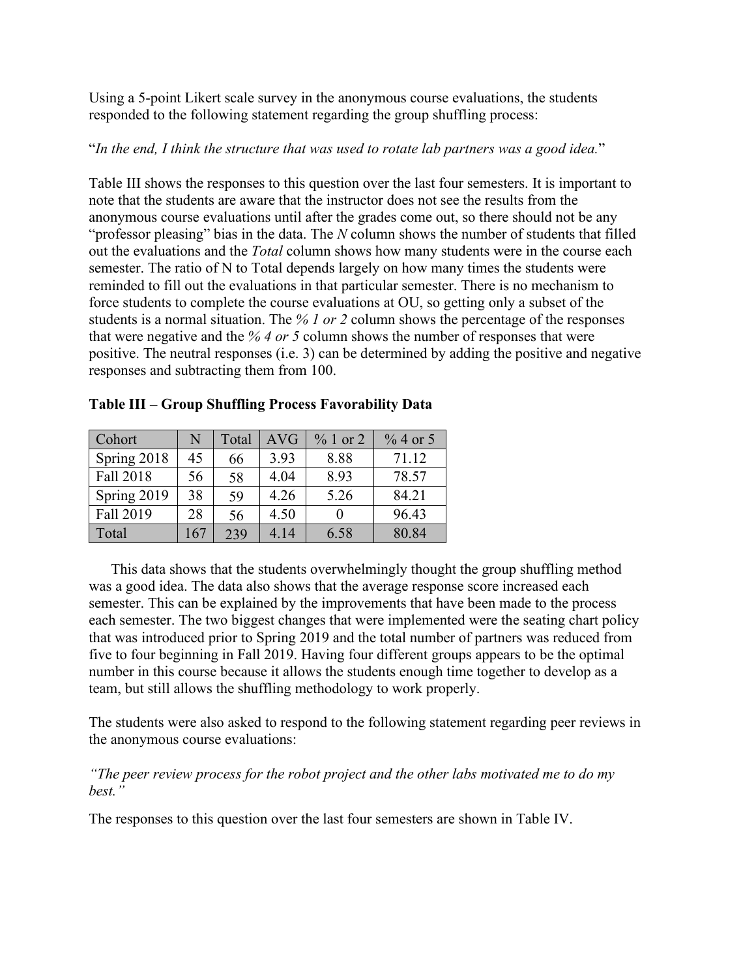Using a 5-point Likert scale survey in the anonymous course evaluations, the students responded to the following statement regarding the group shuffling process:

### "*In the end, I think the structure that was used to rotate lab partners was a good idea.*"

Table III shows the responses to this question over the last four semesters. It is important to note that the students are aware that the instructor does not see the results from the anonymous course evaluations until after the grades come out, so there should not be any "professor pleasing" bias in the data. The *N* column shows the number of students that filled out the evaluations and the *Total* column shows how many students were in the course each semester. The ratio of N to Total depends largely on how many times the students were reminded to fill out the evaluations in that particular semester. There is no mechanism to force students to complete the course evaluations at OU, so getting only a subset of the students is a normal situation. The *% 1 or 2* column shows the percentage of the responses that were negative and the *% 4 or 5* column shows the number of responses that were positive. The neutral responses (i.e. 3) can be determined by adding the positive and negative responses and subtracting them from 100.

| Table III - Group Shuffling Process Favorability Data |  |  |  |
|-------------------------------------------------------|--|--|--|
|-------------------------------------------------------|--|--|--|

| Cohort      | N   | Total | <b>AVG</b> | $\%$ 1 or 2 | $\%$ 4 or 5 |
|-------------|-----|-------|------------|-------------|-------------|
| Spring 2018 | 45  | 66    | 3.93       | 8.88        | 71.12       |
| Fall 2018   | 56  | 58    | 4.04       | 8.93        | 78.57       |
| Spring 2019 | 38  | 59    | 4.26       | 5.26        | 84.21       |
| Fall 2019   | 28  | 56    | 4.50       |             | 96.43       |
| Total       | 167 | 239   | 4.14       | 6.58        | 80.84       |

This data shows that the students overwhelmingly thought the group shuffling method was a good idea. The data also shows that the average response score increased each semester. This can be explained by the improvements that have been made to the process each semester. The two biggest changes that were implemented were the seating chart policy that was introduced prior to Spring 2019 and the total number of partners was reduced from five to four beginning in Fall 2019. Having four different groups appears to be the optimal number in this course because it allows the students enough time together to develop as a team, but still allows the shuffling methodology to work properly.

The students were also asked to respond to the following statement regarding peer reviews in the anonymous course evaluations:

## *"The peer review process for the robot project and the other labs motivated me to do my best."*

The responses to this question over the last four semesters are shown in Table IV.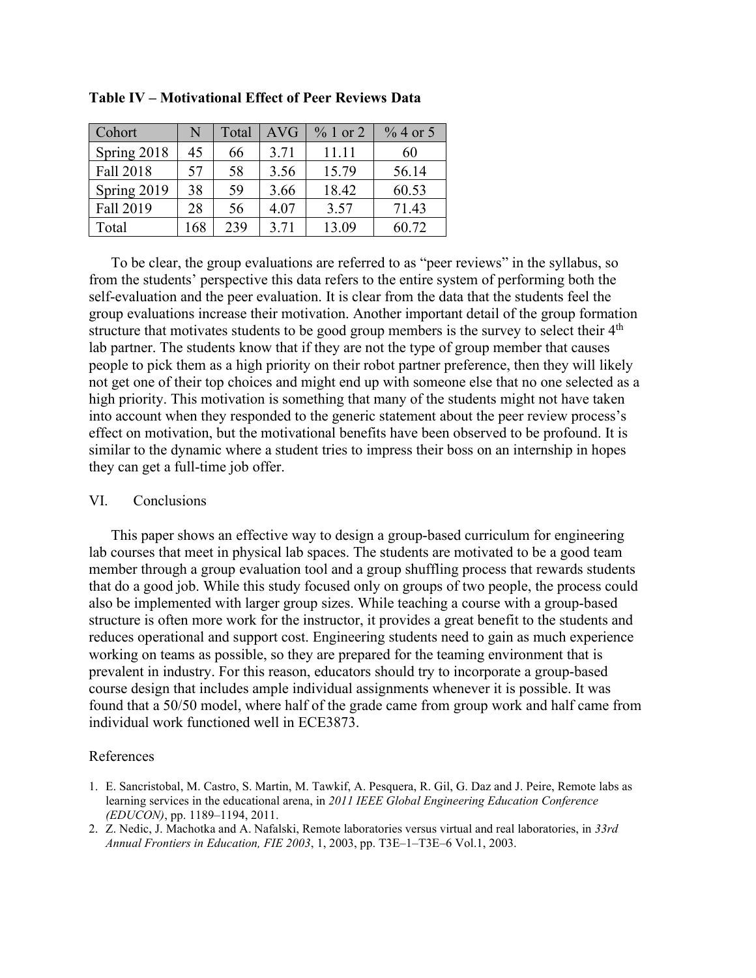| Cohort      | N   | Total | <b>AVG</b> | $\%$ 1 or 2 | $%4$ or 5 |
|-------------|-----|-------|------------|-------------|-----------|
| Spring 2018 | 45  | 66    | 3.71       | 11.11       | 60        |
| Fall 2018   | 57  | 58    | 3.56       | 15.79       | 56.14     |
| Spring 2019 | 38  | 59    | 3.66       | 18.42       | 60.53     |
| Fall 2019   | 28  | 56    | 4.07       | 3.57        | 71.43     |
| Total       | 168 | 239   | 3.71       | 13.09       | 60.72     |

**Table IV – Motivational Effect of Peer Reviews Data** 

To be clear, the group evaluations are referred to as "peer reviews" in the syllabus, so from the students' perspective this data refers to the entire system of performing both the self-evaluation and the peer evaluation. It is clear from the data that the students feel the group evaluations increase their motivation. Another important detail of the group formation structure that motivates students to be good group members is the survey to select their  $4<sup>th</sup>$ lab partner. The students know that if they are not the type of group member that causes people to pick them as a high priority on their robot partner preference, then they will likely not get one of their top choices and might end up with someone else that no one selected as a high priority. This motivation is something that many of the students might not have taken into account when they responded to the generic statement about the peer review process's effect on motivation, but the motivational benefits have been observed to be profound. It is similar to the dynamic where a student tries to impress their boss on an internship in hopes they can get a full-time job offer.

#### VI. Conclusions

This paper shows an effective way to design a group-based curriculum for engineering lab courses that meet in physical lab spaces. The students are motivated to be a good team member through a group evaluation tool and a group shuffling process that rewards students that do a good job. While this study focused only on groups of two people, the process could also be implemented with larger group sizes. While teaching a course with a group-based structure is often more work for the instructor, it provides a great benefit to the students and reduces operational and support cost. Engineering students need to gain as much experience working on teams as possible, so they are prepared for the teaming environment that is prevalent in industry. For this reason, educators should try to incorporate a group-based course design that includes ample individual assignments whenever it is possible. It was found that a 50/50 model, where half of the grade came from group work and half came from individual work functioned well in ECE3873.

### References

- 1. E. Sancristobal, M. Castro, S. Martin, M. Tawkif, A. Pesquera, R. Gil, G. Daz and J. Peire, Remote labs as learning services in the educational arena, in *2011 IEEE Global Engineering Education Conference (EDUCON)*, pp. 1189–1194, 2011.
- 2. Z. Nedic, J. Machotka and A. Nafalski, Remote laboratories versus virtual and real laboratories, in *33rd Annual Frontiers in Education, FIE 2003*, 1, 2003, pp. T3E–1–T3E–6 Vol.1, 2003.